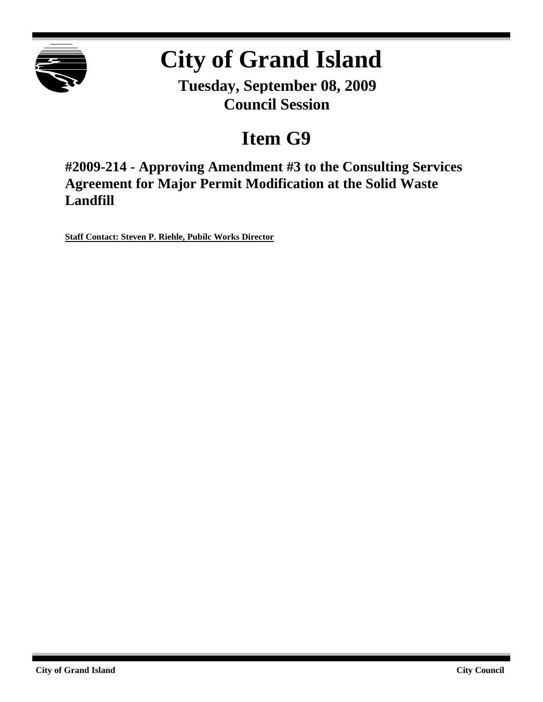

# **City of Grand Island**

**Tuesday, September 08, 2009 Council Session**

## **Item G9**

**#2009-214 - Approving Amendment #3 to the Consulting Services Agreement for Major Permit Modification at the Solid Waste Landfill**

**Staff Contact: Steven P. Riehle, Pubilc Works Director**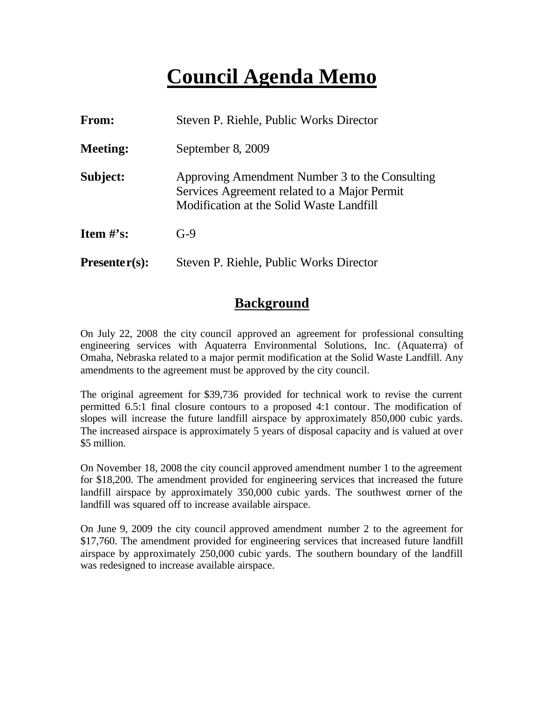### **Council Agenda Memo**

| <b>From:</b>    | Steven P. Riehle, Public Works Director                                                                                                    |  |
|-----------------|--------------------------------------------------------------------------------------------------------------------------------------------|--|
| <b>Meeting:</b> | September 8, 2009                                                                                                                          |  |
| Subject:        | Approving Amendment Number 3 to the Consulting<br>Services Agreement related to a Major Permit<br>Modification at the Solid Waste Landfill |  |
| Item $\#$ 's:   | $G-9$                                                                                                                                      |  |
| $Presenter(s):$ | Steven P. Riehle, Public Works Director                                                                                                    |  |

#### **Background**

On July 22, 2008 the city council approved an agreement for professional consulting engineering services with Aquaterra Environmental Solutions, Inc. (Aquaterra) of Omaha, Nebraska related to a major permit modification at the Solid Waste Landfill. Any amendments to the agreement must be approved by the city council.

The original agreement for \$39,736 provided for technical work to revise the current permitted 6.5:1 final closure contours to a proposed 4:1 contour. The modification of slopes will increase the future landfill airspace by approximately 850,000 cubic yards. The increased airspace is approximately 5 years of disposal capacity and is valued at over \$5 million.

On November 18, 2008 the city council approved amendment number 1 to the agreement for \$18,200. The amendment provided for engineering services that increased the future landfill airspace by approximately 350,000 cubic yards. The southwest corner of the landfill was squared off to increase available airspace.

On June 9, 2009 the city council approved amendment number 2 to the agreement for \$17,760. The amendment provided for engineering services that increased future landfill airspace by approximately 250,000 cubic yards. The southern boundary of the landfill was redesigned to increase available airspace.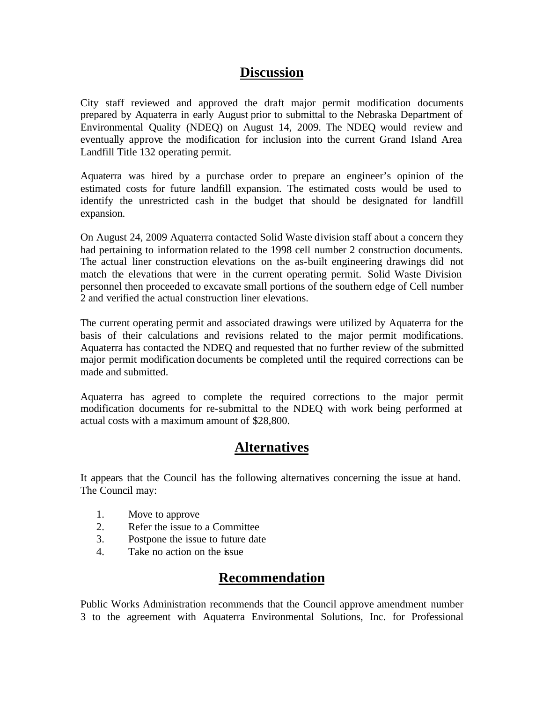#### **Discussion**

City staff reviewed and approved the draft major permit modification documents prepared by Aquaterra in early August prior to submittal to the Nebraska Department of Environmental Quality (NDEQ) on August 14, 2009. The NDEQ would review and eventually approve the modification for inclusion into the current Grand Island Area Landfill Title 132 operating permit.

Aquaterra was hired by a purchase order to prepare an engineer's opinion of the estimated costs for future landfill expansion. The estimated costs would be used to identify the unrestricted cash in the budget that should be designated for landfill expansion.

On August 24, 2009 Aquaterra contacted Solid Waste division staff about a concern they had pertaining to information related to the 1998 cell number 2 construction documents. The actual liner construction elevations on the as-built engineering drawings did not match the elevations that were in the current operating permit. Solid Waste Division personnel then proceeded to excavate small portions of the southern edge of Cell number 2 and verified the actual construction liner elevations.

The current operating permit and associated drawings were utilized by Aquaterra for the basis of their calculations and revisions related to the major permit modifications. Aquaterra has contacted the NDEQ and requested that no further review of the submitted major permit modification documents be completed until the required corrections can be made and submitted.

Aquaterra has agreed to complete the required corrections to the major permit modification documents for re-submittal to the NDEQ with work being performed at actual costs with a maximum amount of \$28,800.

#### **Alternatives**

It appears that the Council has the following alternatives concerning the issue at hand. The Council may:

- 1. Move to approve
- 2. Refer the issue to a Committee
- 3. Postpone the issue to future date
- 4. Take no action on the issue

#### **Recommendation**

Public Works Administration recommends that the Council approve amendment number 3 to the agreement with Aquaterra Environmental Solutions, Inc. for Professional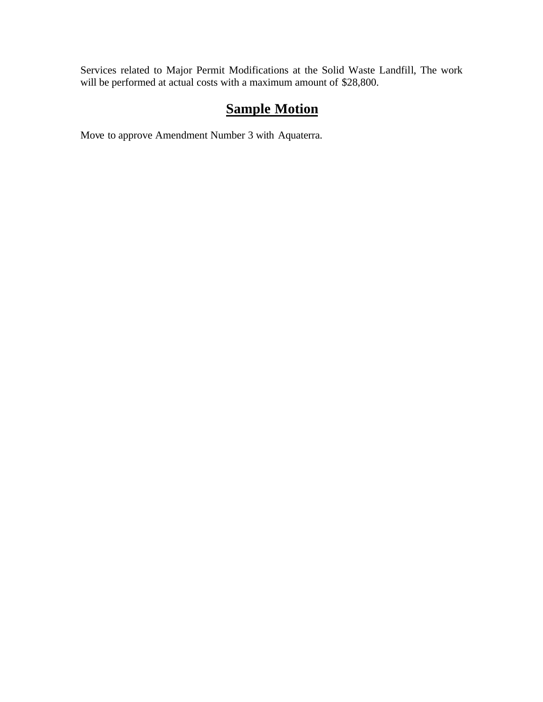Services related to Major Permit Modifications at the Solid Waste Landfill, The work will be performed at actual costs with a maximum amount of \$28,800.

### **Sample Motion**

Move to approve Amendment Number 3 with Aquaterra.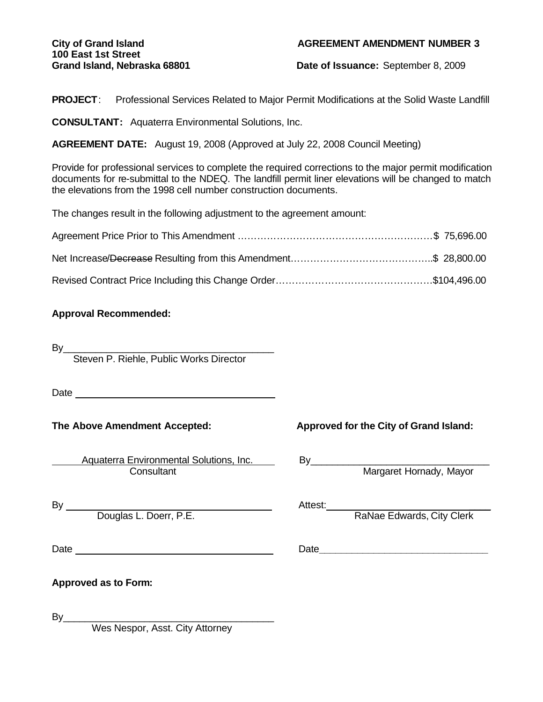# **100 East 1st Street**

#### **City of Grand Island AGREEMENT AMENDMENT NUMBER 3**

**Grand Island, Nebraska 68801 Date of Issuance:** September 8, 2009

**PROJECT**: Professional Services Related to Major Permit Modifications at the Solid Waste Landfill

**CONSULTANT:** Aquaterra Environmental Solutions, Inc.

**AGREEMENT DATE:** August 19, 2008 (Approved at July 22, 2008 Council Meeting)

Provide for professional services to complete the required corrections to the major permit modification documents for re-submittal to the NDEQ. The landfill permit liner elevations will be changed to match the elevations from the 1998 cell number construction documents.

The changes result in the following adjustment to the agreement amount:

#### **Approval Recommended:**

By\_\_\_\_\_\_\_\_\_\_\_\_\_\_\_\_\_\_\_\_\_\_\_\_\_\_\_\_\_\_\_\_\_\_\_\_\_\_\_ Steven P. Riehle, Public Works Director

Date and the contract of the contract of the contract of the contract of the contract of the contract of the contract of the contract of the contract of the contract of the contract of the contract of the contract of the c

Aquaterra Environmental Solutions, Inc. [10] By\_\_\_\_\_\_\_\_\_\_\_\_\_\_\_\_\_\_\_\_\_\_\_\_\_\_\_\_\_\_\_\_\_ Consultant **Margaret Hornady, Mayor** Margaret Hornady, Mayor

#### **The Above Amendment Accepted: Approved for the City of Grand Island:**

By Attest: \_\_\_\_

Douglas L. Doerr, P.E. The Contract of the RaNae Edwards, City Clerk

Date **Date Date Date Date Date Date Date Date Date Date Date Date Date Date Date Date Date Date Date Date Date Date Date Date Date Date Date Date Date Date Date**

By\_\_\_\_\_\_\_\_\_\_\_\_\_\_\_\_\_\_\_\_\_\_\_\_\_\_\_\_\_\_\_\_\_\_\_\_\_\_\_

Wes Nespor, Asst. City Attorney